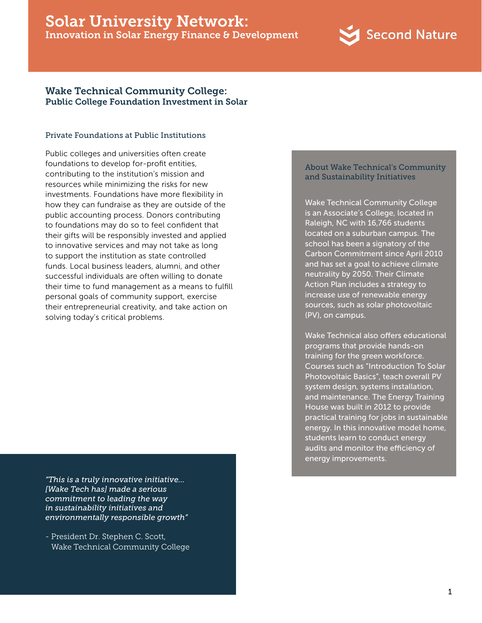# Solar University Network: Innovation in Solar Energy Finance & Development



## Wake Technical Community College: Public College Foundation Investment in Solar

#### Private Foundations at Public Institutions

Public colleges and universities often create foundations to develop for-profit entities, contributing to the institution's mission and resources while minimizing the risks for new investments. Foundations have more flexibility in how they can fundraise as they are outside of the public accounting process. Donors contributing to foundations may do so to feel confident that their gifts will be responsibly invested and applied to innovative services and may not take as long to support the institution as state controlled funds. Local business leaders, alumni, and other successful individuals are often willing to donate their time to fund management as a means to fulfill personal goals of community support, exercise their entrepreneurial creativity, and take action on solving today's critical problems.

*"This is a truly innovative initiative… [Wake Tech has] made a serious commitment to leading the way in sustainability initiatives and environmentally responsible growth"*

- President Dr. Stephen C. Scott, Wake Technical Community College

#### About Wake Technical's Community and Sustainability Initiatives

Wake Technical Community College is an Associate's College, located in Raleigh, NC with 16,766 students located on a suburban campus. The school has been a signatory of the Carbon Commitment since April 2010 and has set a goal to achieve climate neutrality by 2050. Their Climate Action Plan includes a strategy to increase use of renewable energy sources, such as solar photovoltaic (PV), on campus.

Wake Technical also offers educational programs that provide hands-on training for the green workforce. Courses such as "Introduction To Solar Photovoltaic Basics", teach overall PV system design, systems installation, and maintenance. The Energy Training House was built in 2012 to provide practical training for jobs in sustainable energy. In this innovative model home, students learn to conduct energy audits and monitor the efficiency of energy improvements.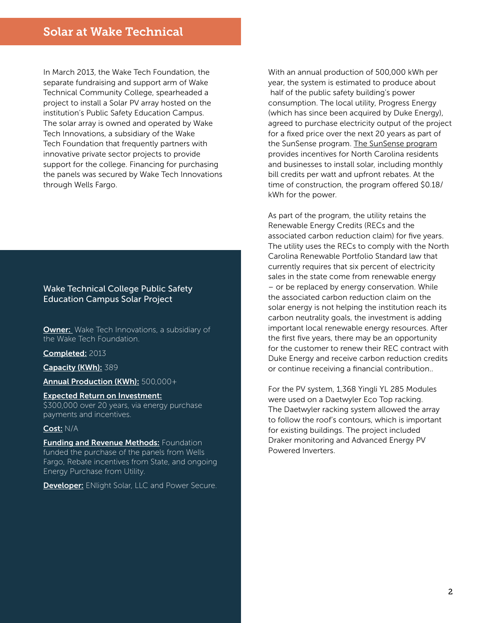In March 2013, the Wake Tech Foundation, the separate fundraising and support arm of Wake Technical Community College, spearheaded a project to install a Solar PV array hosted on the institution's Public Safety Education Campus. The solar array is owned and operated by Wake Tech Innovations, a subsidiary of the Wake Tech Foundation that frequently partners with innovative private sector projects to provide support for the college. Financing for purchasing the panels was secured by Wake Tech Innovations through Wells Fargo.

### Wake Technical College Public Safety Education Campus Solar Project

**Owner:** Wake Tech Innovations, a subsidiary of the Wake Tech Foundation.

Completed: 2013

Capacity (KWh): 389

Annual Production (KWh): 500,000+

Expected Return on Investment: \$300,000 over 20 years, via energy purchase payments and incentives.

#### Cost: N/A

**Funding and Revenue Methods: Foundation** funded the purchase of the panels from Wells Fargo, Rebate incentives from State, and ongoing Energy Purchase from Utility.

**Developer:** ENlight Solar, LLC and Power Secure.

With an annual production of 500,000 kWh per year, the system is estimated to produce about half of the public safety building's power consumption. The local utility, Progress Energy (which has since been acquired by Duke Energy), agreed to purchase electricity output of the project for a fixed price over the next 20 years as part of the SunSense program. [The SunSense program](http://www.energy-grants.net/progress-energy-carolinas-sunsense-commercial-pv-incentive-program-2/) provides incentives for North Carolina residents and businesses to install solar, including monthly bill credits per watt and upfront rebates. At the time of construction, the program offered \$0.18/ kWh for the power.

As part of the program, the utility retains the Renewable Energy Credits (RECs and the associated carbon reduction claim) for five years. The utility uses the RECs to comply with the North Carolina Renewable Portfolio Standard law that currently requires that six percent of electricity sales in the state come from renewable energy – or be replaced by energy conservation. While the associated carbon reduction claim on the solar energy is not helping the institution reach its carbon neutrality goals, the investment is adding important local renewable energy resources. After the first five years, there may be an opportunity for the customer to renew their REC contract with Duke Energy and receive carbon reduction credits or continue receiving a financial contribution..

For the PV system, 1,368 Yingli YL 285 Modules were used on a Daetwyler Eco Top racking. The Daetwyler racking system allowed the array to follow the roof's contours, which is important for existing buildings. The project included Draker monitoring and Advanced Energy PV Powered Inverters.